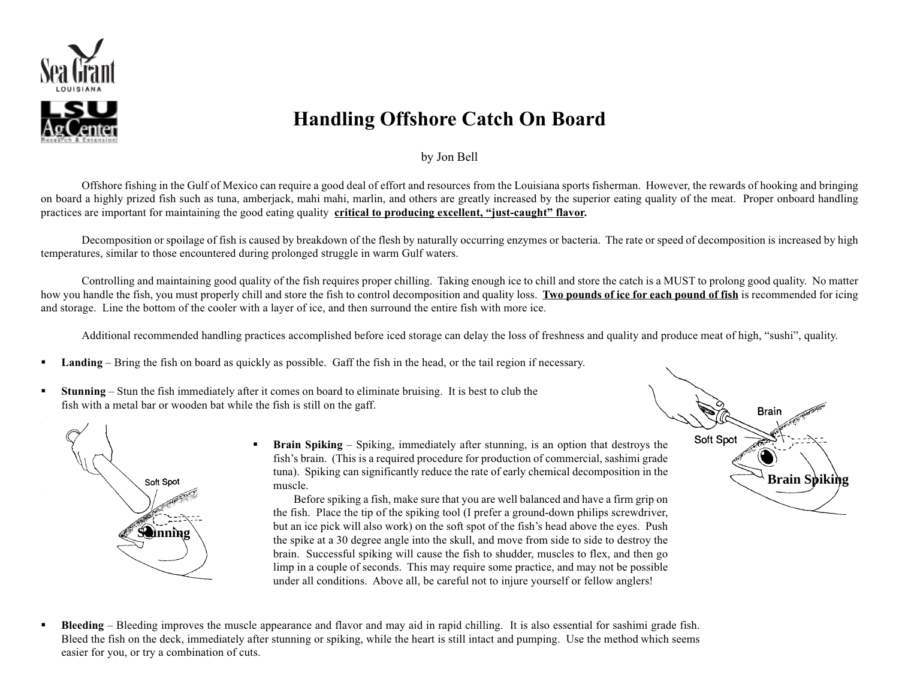

## **Handling Offshore Catch On Board**

## by Jon Bell

Offshore fishing in the Gulf of Mexico can require a good deal of effort and resources from the Louisiana sports fisherman. However, the rewards of hooking and bringing on board a highly prized fish such as tuna, amberjack, mahi mahi, marlin, and others are greatly increased by the superior eating quality of the meat. Proper onboard handling practices are important for maintaining the good eating quality **critical to producing excellent, "just-caught" flavor.**

Decomposition or spoilage of fish is caused by breakdown of the flesh by naturally occurring enzymes or bacteria. The rate or speed of decomposition is increased by high temperatures, similar to those encountered during prolonged struggle in warm Gulf waters.

Controlling and maintaining good quality of the fish requires proper chilling. Taking enough ice to chill and store the catch is a MUST to prolong good quality. No matter how you handle the fish, you must properly chill and store the fish to control decomposition and quality loss. **Two pounds of ice for each pound of fish** is recommended for icing and storage. Line the bottom of the cooler with a layer of ice, and then surround the entire fish with more ice.

Additional recommended handling practices accomplished before iced storage can delay the loss of freshness and quality and produce meat of high, "sushi", quality.

- **Landing** Bring the fish on board as quickly as possible. Gaff the fish in the head, or the tail region if necessary.
- **Stunning** Stun the fish immediately after it comes on board to eliminate bruising. It is best to club the fish with a metal bar or wooden bat while the fish is still on the gaff.



 **Brain Spiking** – Spiking, immediately after stunning, is an option that destroys the fish's brain. (This is a required procedure for production of commercial, sashimi grade tuna). Spiking can significantly reduce the rate of early chemical decomposition in the muscle.

Before spiking a fish, make sure that you are well balanced and have a firm grip on the fish. Place the tip of the spiking tool (I prefer a ground-down philips screwdriver, but an ice pick will also work) on the soft spot of the fish's head above the eyes. Push the spike at a 30 degree angle into the skull, and move from side to side to destroy the brain. Successful spiking will cause the fish to shudder, muscles to flex, and then go limp in a couple of seconds. This may require some practice, and may not be possible under all conditions. Above all, be careful not to injure yourself or fellow anglers!

**Brain** Soft Spot **Brain Spiking**

**Bleeding** – Bleeding improves the muscle appearance and flavor and may aid in rapid chilling. It is also essential for sashimi grade fish. Bleed the fish on the deck, immediately after stunning or spiking, while the heart is still intact and pumping. Use the method which seems easier for you, or try a combination of cuts.